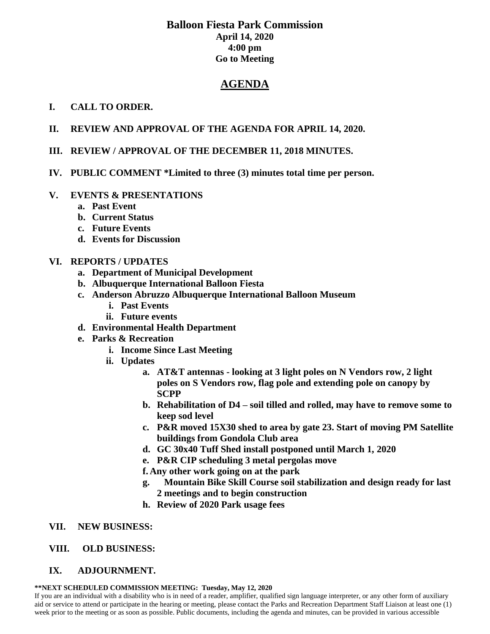# **Balloon Fiesta Park Commission April 14, 2020 4:00 pm Go to Meeting**

# **AGENDA**

## **I. CALL TO ORDER.**

- **II. REVIEW AND APPROVAL OF THE AGENDA FOR APRIL 14, 2020.**
- **III. REVIEW / APPROVAL OF THE DECEMBER 11, 2018 MINUTES.**
- **IV. PUBLIC COMMENT \*Limited to three (3) minutes total time per person.**

### **V. EVENTS & PRESENTATIONS**

- **a. Past Event**
- **b. Current Status**
- **c. Future Events**
- **d. Events for Discussion**

#### **VI. REPORTS / UPDATES**

- **a. Department of Municipal Development**
- **b. Albuquerque International Balloon Fiesta**
- **c. Anderson Abruzzo Albuquerque International Balloon Museum**
	- **i. Past Events**
	- **ii. Future events**
- **d. Environmental Health Department**
- **e. Parks & Recreation** 
	- **i. Income Since Last Meeting**
	- **ii. Updates**
		- **a. AT&T antennas - looking at 3 light poles on N Vendors row, 2 light poles on S Vendors row, flag pole and extending pole on canopy by SCPP**
		- **b. Rehabilitation of D4 – soil tilled and rolled, may have to remove some to keep sod level**
		- **c. P&R moved 15X30 shed to area by gate 23. Start of moving PM Satellite buildings from Gondola Club area**
		- **d. GC 30x40 Tuff Shed install postponed until March 1, 2020**
		- **e. P&R CIP scheduling 3 metal pergolas move**
		- **f. Any other work going on at the park**
		- **g. Mountain Bike Skill Course soil stabilization and design ready for last 2 meetings and to begin construction**
		- **h. Review of 2020 Park usage fees**
- **VII. NEW BUSINESS:**
- **VIII. OLD BUSINESS:**
- **IX. ADJOURNMENT.**

#### **\*\*NEXT SCHEDULED COMMISSION MEETING: Tuesday, May 12, 2020**

If you are an individual with a disability who is in need of a reader, amplifier, qualified sign language interpreter, or any other form of auxiliary aid or service to attend or participate in the hearing or meeting, please contact the Parks and Recreation Department Staff Liaison at least one (1) week prior to the meeting or as soon as possible. Public documents, including the agenda and minutes, can be provided in various accessible